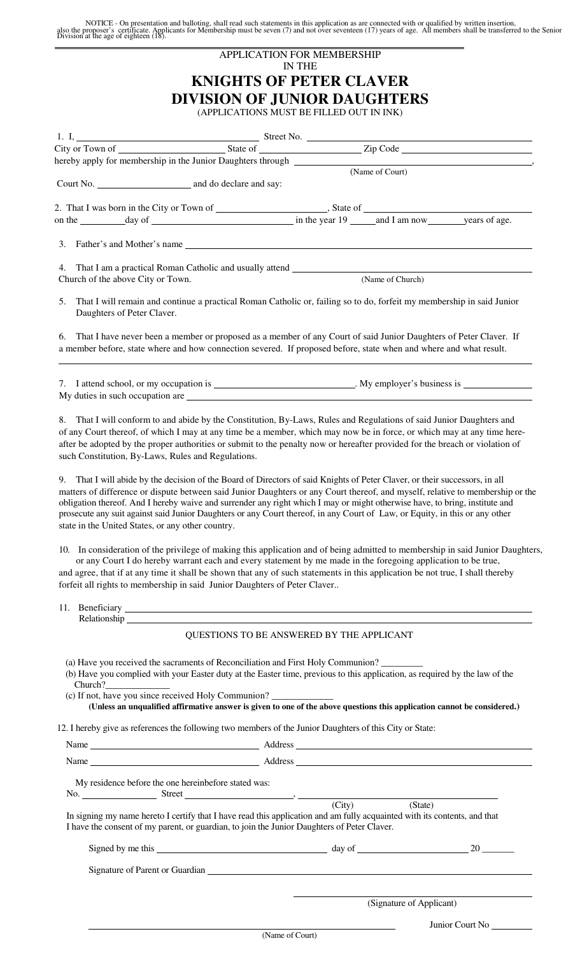NOTICE - On presentation and balloting, shall read such statements in this application as are connected with or qualified by written insertion,<br>also the proposer's certificate. Applicants for Membership must be seven (7) a  $\overline{a}$ 

|                                                                                                         | <b>APPLICATION FOR MEMBERSHIP</b><br><b>IN THE</b>                                                                                                                                                                                                                                                                                                                                                                                                                                                                                                                                                                                                                                                                                                                                     |  |
|---------------------------------------------------------------------------------------------------------|----------------------------------------------------------------------------------------------------------------------------------------------------------------------------------------------------------------------------------------------------------------------------------------------------------------------------------------------------------------------------------------------------------------------------------------------------------------------------------------------------------------------------------------------------------------------------------------------------------------------------------------------------------------------------------------------------------------------------------------------------------------------------------------|--|
|                                                                                                         | <b>KNIGHTS OF PETER CLAVER</b>                                                                                                                                                                                                                                                                                                                                                                                                                                                                                                                                                                                                                                                                                                                                                         |  |
|                                                                                                         | <b>DIVISION OF JUNIOR DAUGHTERS</b><br>(APPLICATIONS MUST BE FILLED OUT IN INK)                                                                                                                                                                                                                                                                                                                                                                                                                                                                                                                                                                                                                                                                                                        |  |
|                                                                                                         |                                                                                                                                                                                                                                                                                                                                                                                                                                                                                                                                                                                                                                                                                                                                                                                        |  |
|                                                                                                         |                                                                                                                                                                                                                                                                                                                                                                                                                                                                                                                                                                                                                                                                                                                                                                                        |  |
|                                                                                                         |                                                                                                                                                                                                                                                                                                                                                                                                                                                                                                                                                                                                                                                                                                                                                                                        |  |
|                                                                                                         |                                                                                                                                                                                                                                                                                                                                                                                                                                                                                                                                                                                                                                                                                                                                                                                        |  |
|                                                                                                         |                                                                                                                                                                                                                                                                                                                                                                                                                                                                                                                                                                                                                                                                                                                                                                                        |  |
|                                                                                                         |                                                                                                                                                                                                                                                                                                                                                                                                                                                                                                                                                                                                                                                                                                                                                                                        |  |
|                                                                                                         | 3. Father's and Mother's name that the contract of the contract of the contract of the contract of the contract of the contract of the contract of the contract of the contract of the contract of the contract of the contrac                                                                                                                                                                                                                                                                                                                                                                                                                                                                                                                                                         |  |
| Church of the above City or Town.                                                                       | (Name of Church)                                                                                                                                                                                                                                                                                                                                                                                                                                                                                                                                                                                                                                                                                                                                                                       |  |
| 5.<br>Daughters of Peter Claver.                                                                        | That I will remain and continue a practical Roman Catholic or, failing so to do, forfeit my membership in said Junior                                                                                                                                                                                                                                                                                                                                                                                                                                                                                                                                                                                                                                                                  |  |
| 6.                                                                                                      | That I have never been a member or proposed as a member of any Court of said Junior Daughters of Peter Claver. If<br>a member before, state where and how connection severed. If proposed before, state when and where and what result.                                                                                                                                                                                                                                                                                                                                                                                                                                                                                                                                                |  |
|                                                                                                         | 7. I attend school, or my occupation is ______________________________. My employer's business is ______________                                                                                                                                                                                                                                                                                                                                                                                                                                                                                                                                                                                                                                                                       |  |
|                                                                                                         | My duties in such occupation are example and the state of the state of the state of the state of the state of the state of the state of the state of the state of the state of the state of the state of the state of the stat                                                                                                                                                                                                                                                                                                                                                                                                                                                                                                                                                         |  |
| such Constitution, By-Laws, Rules and Regulations.<br>state in the United States, or any other country. | of any Court thereof, of which I may at any time be a member, which may now be in force, or which may at any time here-<br>after be adopted by the proper authorities or submit to the penalty now or hereafter provided for the breach or violation of<br>9. That I will abide by the decision of the Board of Directors of said Knights of Peter Claver, or their successors, in all<br>matters of difference or dispute between said Junior Daughters or any Court thereof, and myself, relative to membership or the<br>obligation thereof. And I hereby waive and surrender any right which I may or might otherwise have, to bring, institute and<br>prosecute any suit against said Junior Daughters or any Court thereof, in any Court of Law, or Equity, in this or any other |  |
| forfeit all rights to membership in said Junior Daughters of Peter Claver                               | 10. In consideration of the privilege of making this application and of being admitted to membership in said Junior Daughters,<br>or any Court I do hereby warrant each and every statement by me made in the foregoing application to be true,<br>and agree, that if at any time it shall be shown that any of such statements in this application be not true, I shall thereby                                                                                                                                                                                                                                                                                                                                                                                                       |  |
|                                                                                                         |                                                                                                                                                                                                                                                                                                                                                                                                                                                                                                                                                                                                                                                                                                                                                                                        |  |
|                                                                                                         | QUESTIONS TO BE ANSWERED BY THE APPLICANT                                                                                                                                                                                                                                                                                                                                                                                                                                                                                                                                                                                                                                                                                                                                              |  |
| Church?<br>(c) If not, have you since received Holy Communion? ____________________________             | (a) Have you received the sacraments of Reconciliation and First Holy Communion?<br>(b) Have you complied with your Easter duty at the Easter time, previous to this application, as required by the law of the<br>(Unless an unqualified affirmative answer is given to one of the above questions this application cannot be considered.)                                                                                                                                                                                                                                                                                                                                                                                                                                            |  |
|                                                                                                         | 12. I hereby give as references the following two members of the Junior Daughters of this City or State:                                                                                                                                                                                                                                                                                                                                                                                                                                                                                                                                                                                                                                                                               |  |
|                                                                                                         |                                                                                                                                                                                                                                                                                                                                                                                                                                                                                                                                                                                                                                                                                                                                                                                        |  |
|                                                                                                         |                                                                                                                                                                                                                                                                                                                                                                                                                                                                                                                                                                                                                                                                                                                                                                                        |  |
| My residence before the one hereinbefore stated was:                                                    | $\frac{1}{2}$ Street (City) (State)                                                                                                                                                                                                                                                                                                                                                                                                                                                                                                                                                                                                                                                                                                                                                    |  |
| I have the consent of my parent, or guardian, to join the Junior Daughters of Peter Claver.             | In signing my name hereto I certify that I have read this application and am fully acquainted with its contents, and that                                                                                                                                                                                                                                                                                                                                                                                                                                                                                                                                                                                                                                                              |  |
|                                                                                                         |                                                                                                                                                                                                                                                                                                                                                                                                                                                                                                                                                                                                                                                                                                                                                                                        |  |
|                                                                                                         | Signature of Parent or Guardian expansion of the state of the state of the state of the state of the state of the state of the state of the state of the state of the state of the state of the state of the state of the stat                                                                                                                                                                                                                                                                                                                                                                                                                                                                                                                                                         |  |
|                                                                                                         | (Signature of Applicant)                                                                                                                                                                                                                                                                                                                                                                                                                                                                                                                                                                                                                                                                                                                                                               |  |

(Name of Court)

Junior Court No